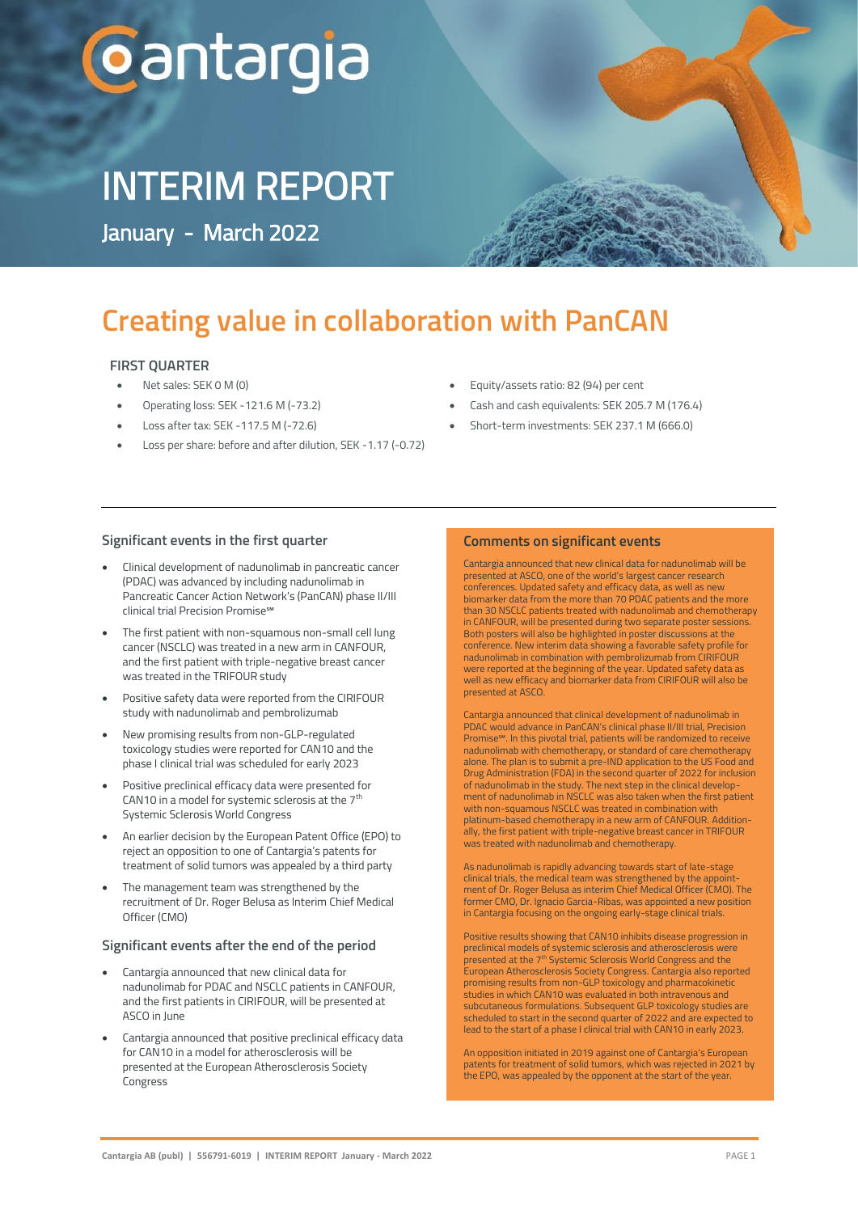# **Cantargia**

# INTERIM REPORT

January - March 2022

## **Creating value in collaboration with PanCAN**

# **FIRST QUARTER**<br>• Net sales: SEK 0 M (0)

- Net sales: SEK 0 M (0)
- Operating loss: SEK -121.6 M (-73.2)<br>• Loss after tax: SEK -117.5 M (-72.6)
	- Loss after tax: SEK -117.5 M (-72.6)
	- Loss per share: before and after dilution, SEK -1.17 (-0.72)
- Equity/assets ratio: 82 (94) per cent
- Cash and cash equivalents: SEK 205.7 M (176.4)
- Short-term investments: SEK 237.1 M (666.0)

### **Significant events in the first quarter**

- Clinical development of nadunolimab in pancreatic cancer (PDAC) was advanced by including nadunolimab in Pancreatic Cancer Action Network's (PanCAN) phase II/III clinical trial Precision Promise℠
- The first patient with non-squamous non-small cell lung cancer (NSCLC) was treated in a new arm in CANFOUR, and the first patient with triple-negative breast cancer was treated in the TRIFOUR study
- Positive safety data were reported from the CIRIFOUR study with nadunolimab and pembrolizumab
- New promising results from non-GLP-regulated toxicology studies were reported for CAN10 and the phase I clinical trial was scheduled for early 2023
- Positive preclinical efficacy data were presented for CAN10 in a model for systemic sclerosis at the  $7<sup>th</sup>$ Systemic Sclerosis World Congress
- An earlier decision by the European Patent Office (EPO) to reject an opposition to one of Cantargia's patents for treatment of solid tumors was appealed by a third party
- The management team was strengthened by the recruitment of Dr. Roger Belusa as Interim Chief Medical Officer (CMO)

### **Significant events after the end of the period**

- Cantargia announced that new clinical data for nadunolimab for PDAC and NSCLC patients in CANFOUR, and the first patients in CIRIFOUR, will be presented at ASCO in June
- Cantargia announced that positive preclinical efficacy data for CAN10 in a model for atherosclerosis will be presented at the European Atherosclerosis Society Congress

### **Comments on significant events**

Cantargia announced that new clinical data for nadunolimab will be presented at ASCO, one of the world's largest cancer research conferences. Updated safety and efficacy data, as well as new biomarker data from the more than 70 PDAC patients and the more than 30 NSCLC patients treated with nadunolimab and chemotherapy in CANFOUR, will be presented during two separate poster session Both posters will also be highlighted in poster discussions at the conference. New interim data showing a favorable safety profile for nadunolimab in combination with pembrolizumab from CIRIFOUR were reported at the beginning of the year. Updated safety data as well as new efficacy and biomarker data from CIRIFOUR will also be presented at ASCO.

Cantargia announced that clinical development of nadunolimab in PDAC would advance in PanCAN's clinical phase II/III trial, Precision Promise℠. In this pivotal trial, patients will be randomized to receive nadunolimab with chemotherapy, or standard of care chemotherapy alone. The plan is to submit a pre-IND application to the US Food and Drug Administration (FDA) in the second quarter of 2022 for inclusion of nadunolimab in the study. The next step in the clinical development of nadunolimab in NSCLC was also taken when the first patient with non-squamous NSCLC was treated in combination with platinum-based chemotherapy in a new arm of CANFOUR. Additionally, the first patient with triple-negative breast cancer in TRIFOUR was treated with nadunolimab and chemotherapy.

As nadunolimab is rapidly advancing towards start of late-stage clinical trials, the medical team was strengthened by the appointment of Dr. Roger Belusa as interim Chief Medical Officer (CMO). The former CMO, Dr. Ignacio Garcia-Ribas, was appointed a new position in Cantargia focusing on the ongoing early-stage clinical trials.

Positive results showing that CAN10 inhibits disease progression in preclinical models of systemic sclerosis and atherosclerosis were<br>presented at the 7th Systemic Sclerosis World Congress and the European Atherosclerosis Society Congress. Cantargia also reported promising results from non-GLP toxicology and pharmacokinetic studies in which CAN10 was evaluated in both intravenous and subcutaneous formulations. Subsequent GLP toxicology studies are scheduled to start in the second quarter of 2022 and are expected to lead to the start of a phase I clinical trial with CAN10 in early 2023.

An opposition initiated in 2019 against one of Cantargia's European patents for treatment of solid tumors, which was rejected in 2021 by the EPO, was appealed by the opponent at the start of the year.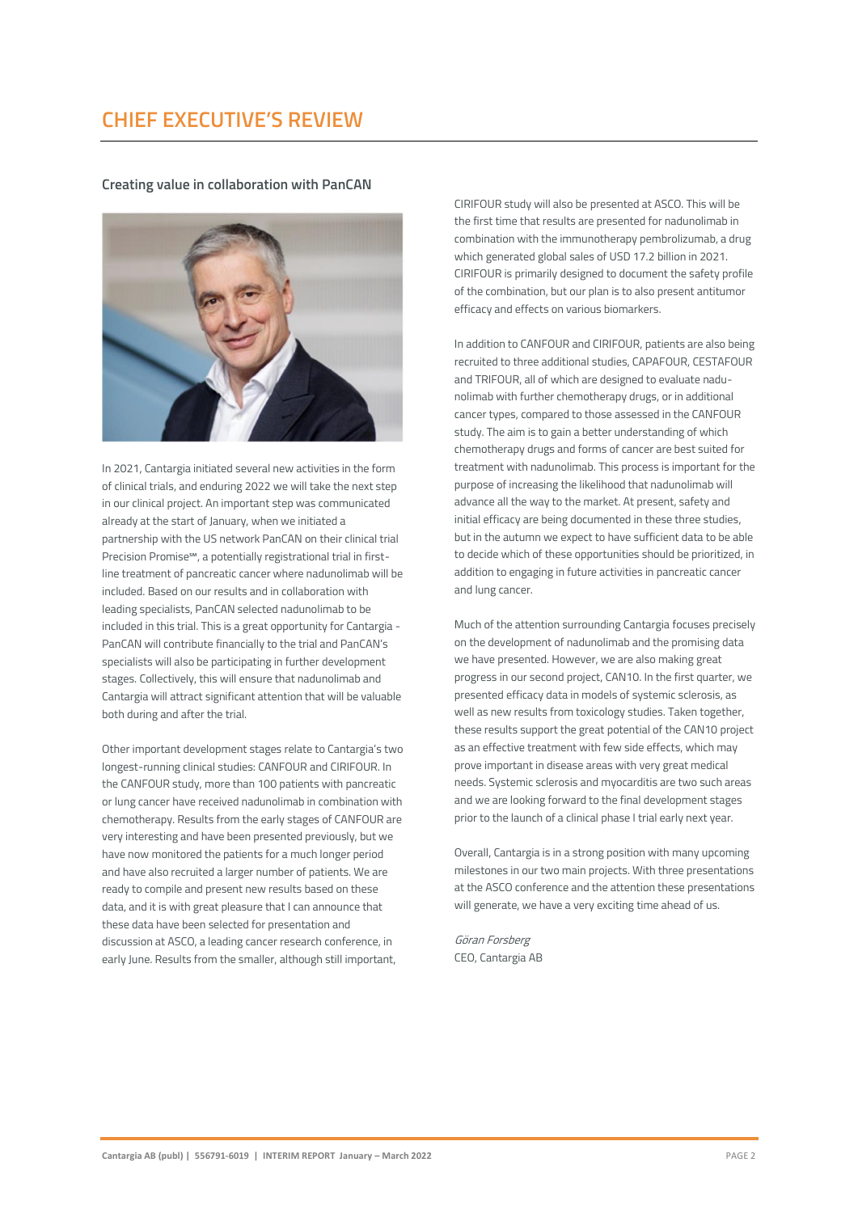### **CHIEF EXECUTIVE'S REVIEW**

**Creating value in collaboration with PanCAN**



In 2021, Cantargia initiated several new activities in the form of clinical trials, and enduring 2022 we will take the next step in our clinical project. An important step was communicated already at the start of January, when we initiated a partnership with the US network PanCAN on their clinical trial Precision Promise℠, a potentially registrational trial in firstline treatment of pancreatic cancer where nadunolimab will be included. Based on our results and in collaboration with leading specialists, PanCAN selected nadunolimab to be included in this trial. This is a great opportunity for Cantargia - PanCAN will contribute financially to the trial and PanCAN's specialists will also be participating in further development stages. Collectively, this will ensure that nadunolimab and Cantargia will attract significant attention that will be valuable both during and after the trial.

Other important development stages relate to Cantargia's two longest-running clinical studies: CANFOUR and CIRIFOUR. In the CANFOUR study, more than 100 patients with pancreatic or lung cancer have received nadunolimab in combination with chemotherapy. Results from the early stages of CANFOUR are very interesting and have been presented previously, but we have now monitored the patients for a much longer period and have also recruited a larger number of patients. We are ready to compile and present new results based on these data, and it is with great pleasure that I can announce that these data have been selected for presentation and discussion at ASCO, a leading cancer research conference, in early June. Results from the smaller, although still important,

CIRIFOUR study will also be presented at ASCO. This will be the first time that results are presented for nadunolimab in combination with the immunotherapy pembrolizumab, a drug which generated global sales of USD 17.2 billion in 2021. CIRIFOUR is primarily designed to document the safety profile of the combination, but our plan is to also present antitumor efficacy and effects on various biomarkers.

In addition to CANFOUR and CIRIFOUR, patients are also being recruited to three additional studies, CAPAFOUR, CESTAFOUR and TRIFOUR, all of which are designed to evaluate nadunolimab with further chemotherapy drugs, or in additional cancer types, compared to those assessed in the CANFOUR study. The aim is to gain a better understanding of which chemotherapy drugs and forms of cancer are best suited for treatment with nadunolimab. This process is important for the purpose of increasing the likelihood that nadunolimab will advance all the way to the market. At present, safety and initial efficacy are being documented in these three studies, but in the autumn we expect to have sufficient data to be able to decide which of these opportunities should be prioritized, in addition to engaging in future activities in pancreatic cancer and lung cancer.

Much of the attention surrounding Cantargia focuses precisely on the development of nadunolimab and the promising data we have presented. However, we are also making great progress in our second project, CAN10. In the first quarter, we presented efficacy data in models of systemic sclerosis, as well as new results from toxicology studies. Taken together, these results support the great potential of the CAN10 project as an effective treatment with few side effects, which may prove important in disease areas with very great medical needs. Systemic sclerosis and myocarditis are two such areas and we are looking forward to the final development stages prior to the launch of a clinical phase I trial early next year.

Overall, Cantargia is in a strong position with many upcoming milestones in our two main projects. With three presentations at the ASCO conference and the attention these presentations will generate, we have a very exciting time ahead of us.

Göran Forsberg CEO, Cantargia AB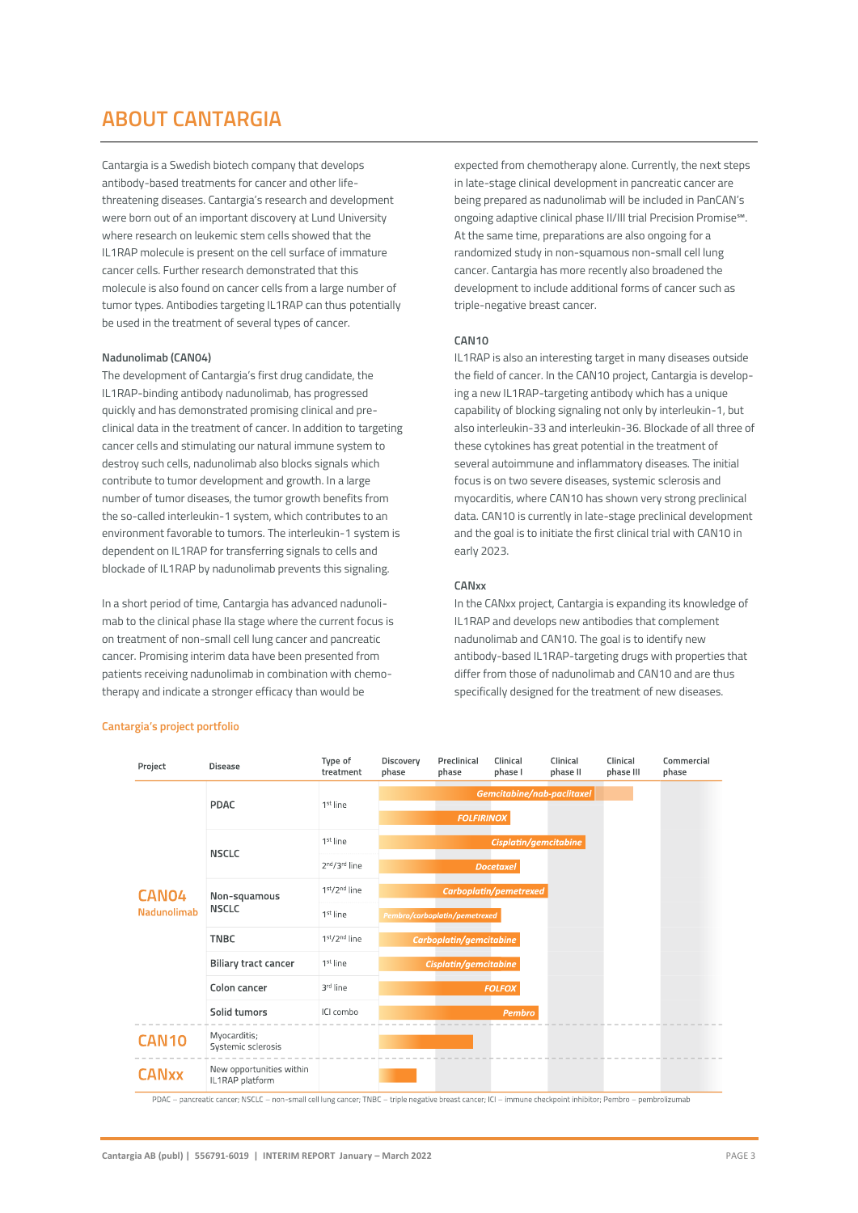### **ABOUT CANTARGIA**

Cantargia is a Swedish biotech company that develops antibody-based treatments for cancer and other lifethreatening diseases. Cantargia's research and development were born out of an important discovery at Lund University where research on leukemic stem cells showed that the IL1RAP molecule is present on the cell surface of immature cancer cells. Further research demonstrated that this molecule is also found on cancer cells from a large number of tumor types. Antibodies targeting IL1RAP can thus potentially be used in the treatment of several types of cancer.

### **Nadunolimab (CAN04)**

The development of Cantargia's first drug candidate, the IL1RAP-binding antibody nadunolimab, has progressed quickly and has demonstrated promising clinical and preclinical data in the treatment of cancer. In addition to targeting cancer cells and stimulating our natural immune system to destroy such cells, nadunolimab also blocks signals which contribute to tumor development and growth. In a large number of tumor diseases, the tumor growth benefits from the so-called interleukin-1 system, which contributes to an environment favorable to tumors. The interleukin-1 system is dependent on IL1RAP for transferring signals to cells and blockade of IL1RAP by nadunolimab prevents this signaling.

In a short period of time, Cantargia has advanced nadunolimab to the clinical phase IIa stage where the current focus is on treatment of non-small cell lung cancer and pancreatic cancer. Promising interim data have been presented from patients receiving nadunolimab in combination with chemotherapy and indicate a stronger efficacy than would be

expected from chemotherapy alone. Currently, the next steps in late-stage clinical development in pancreatic cancer are being prepared as nadunolimab will be included in PanCAN's ongoing adaptive clinical phase II/III trial Precision Promise℠. At the same time, preparations are also ongoing for a randomized study in non-squamous non-small cell lung cancer. Cantargia has more recently also broadened the development to include additional forms of cancer such as triple-negative breast cancer.

#### **CAN10**

IL1RAP is also an interesting target in many diseases outside the field of cancer. In the CAN10 project, Cantargia is developing a new IL1RAP-targeting antibody which has a unique capability of blocking signaling not only by interleukin-1, but also interleukin-33 and interleukin-36. Blockade of all three of these cytokines has great potential in the treatment of several autoimmune and inflammatory diseases. The initial focus is on two severe diseases, systemic sclerosis and myocarditis, where CAN10 has shown very strong preclinical data. CAN10 is currently in late-stage preclinical development and the goal is to initiate the first clinical trial with CAN10 in early 2023.

#### **CANxx**

In the CANxx project, Cantargia is expanding its knowledge of IL1RAP and develops new antibodies that complement nadunolimab and CAN10. The goal is to identify new antibody-based IL1RAP-targeting drugs with properties that differ from those of nadunolimab and CAN10 and are thus specifically designed for the treatment of new diseases.



### **Cantargia's project portfolio**

PDAC - pancreatic cancer; NSCLC - non-small cell lung cancer; TNBC - triple negative breast cancer; ICI - immune checkpoint inhibitor; Pembro - pembrolizumab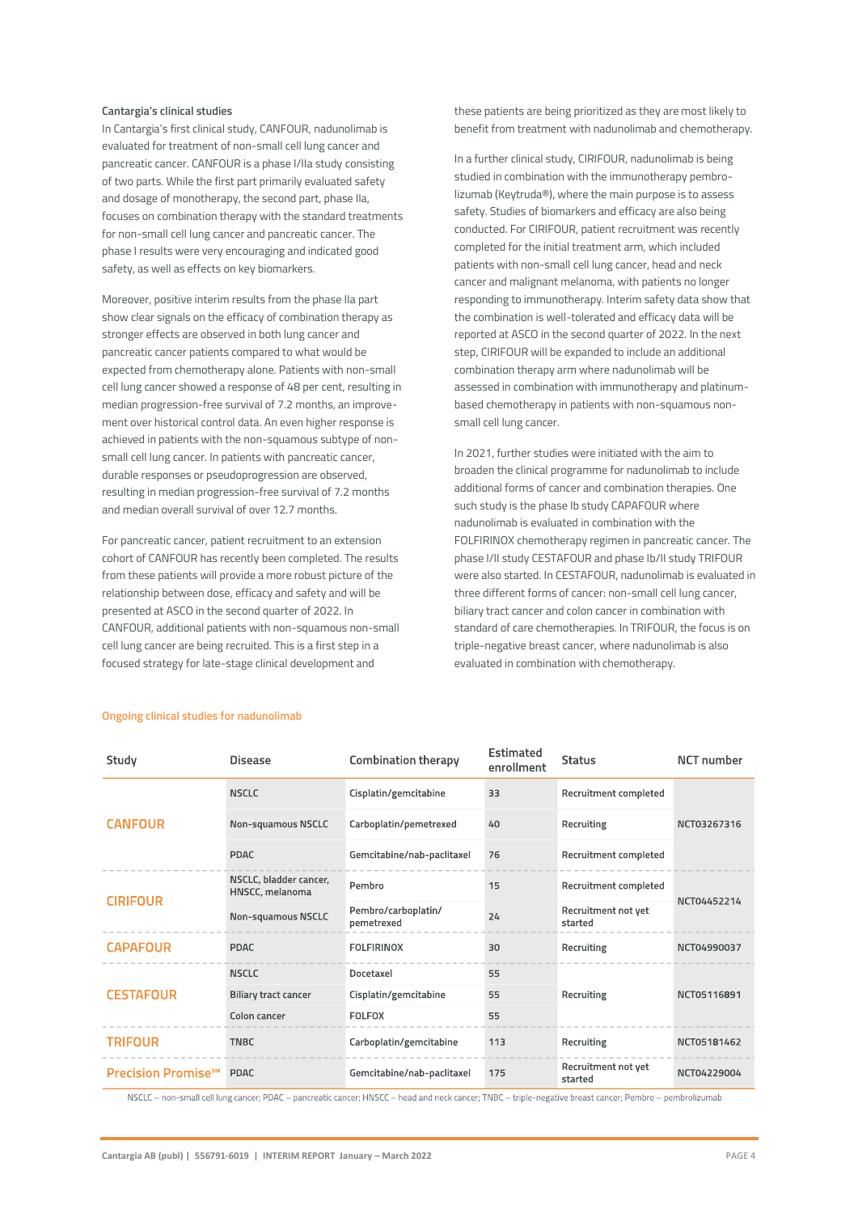#### **Cantargia's clinical studies**

In Cantargia's first clinical study, CANFOUR, nadunolimab is evaluated for treatment of non-small cell lung cancer and pancreatic cancer. CANFOUR is a phase I/IIa study consisting of two parts. While the first part primarily evaluated safety and dosage of monotherapy, the second part, phase IIa, focuses on combination therapy with the standard treatments for non-small cell lung cancer and pancreatic cancer. The phase I results were very encouraging and indicated good safety, as well as effects on key biomarkers.

Moreover, positive interim results from the phase IIa part show clear signals on the efficacy of combination therapy as stronger effects are observed in both lung cancer and pancreatic cancer patients compared to what would be expected from chemotherapy alone. Patients with non-small cell lung cancer showed a response of 48 per cent, resulting in median progression-free survival of 7.2 months, an improvement over historical control data. An even higher response is achieved in patients with the non-squamous subtype of nonsmall cell lung cancer. In patients with pancreatic cancer, durable responses or pseudoprogression are observed, resulting in median progression-free survival of 7.2 months and median overall survival of over 12.7 months.

For pancreatic cancer, patient recruitment to an extension cohort of CANFOUR has recently been completed. The results from these patients will provide a more robust picture of the relationship between dose, efficacy and safety and will be presented at ASCO in the second quarter of 2022. In CANFOUR, additional patients with non-squamous non-small cell lung cancer are being recruited. This is a first step in a focused strategy for late-stage clinical development and

these patients are being prioritized as they are most likely to benefit from treatment with nadunolimab and chemotherapy.

In a further clinical study, CIRIFOUR, nadunolimab is being studied in combination with the immunotherapy pembrolizumab (Keytruda®), where the main purpose is to assess safety. Studies of biomarkers and efficacy are also being conducted. For CIRIFOUR, patient recruitment was recently completed for the initial treatment arm, which included patients with non-small cell lung cancer, head and neck cancer and malignant melanoma, with patients no longer responding to immunotherapy. Interim safety data show that the combination is well-tolerated and efficacy data will be reported at ASCO in the second quarter of 2022. In the next step, CIRIFOUR will be expanded to include an additional combination therapy arm where nadunolimab will be assessed in combination with immunotherapy and platinumbased chemotherapy in patients with non-squamous nonsmall cell lung cancer.

In 2021, further studies were initiated with the aim to broaden the clinical programme for nadunolimab to include additional forms of cancer and combination therapies. One such study is the phase Ib study CAPAFOUR where nadunolimab is evaluated in combination with the FOLFIRINOX chemotherapy regimen in pancreatic cancer. The phase I/II study CESTAFOUR and phase Ib/II study TRIFOUR were also started. In CESTAFOUR, nadunolimab is evaluated in three different forms of cancer: non-small cell lung cancer, biliary tract cancer and colon cancer in combination with standard of care chemotherapies. In TRIFOUR, the focus is on triple-negative breast cancer, where nadunolimab is also evaluated in combination with chemotherapy.

| Study                                 | <b>Disease</b>                            | <b>Combination therapy</b>        | Estimated<br>enrollment | <b>Status</b>                  | <b>NCT</b> number |  |
|---------------------------------------|-------------------------------------------|-----------------------------------|-------------------------|--------------------------------|-------------------|--|
|                                       | <b>NSCLC</b>                              | Cisplatin/gemcitabine             | 33                      | Recruitment completed          |                   |  |
| <b>CANFOUR</b>                        | Non-squamous NSCLC                        | Carboplatin/pemetrexed            | 40                      | Recruiting                     | NCT03267316       |  |
|                                       | <b>PDAC</b>                               | Gemcitabine/nab-paclitaxel        | 76                      | Recruitment completed          |                   |  |
| <b>CIRIFOUR</b>                       | NSCLC, bladder cancer,<br>HNSCC, melanoma | Pembro                            | 15                      | Recruitment completed          | NCT04452214       |  |
|                                       | Non-squamous NSCLC                        | Pembro/carboplatin/<br>pemetrexed | 24                      | Recruitment not yet<br>started |                   |  |
| <b>CAPAFOUR</b>                       | <b>PDAC</b>                               | <b>FOLFIRINOX</b>                 | 30                      | Recruiting                     | NCT04990037       |  |
|                                       | <b>NSCLC</b>                              | Docetaxel                         | 55                      |                                |                   |  |
| <b>CESTAFOUR</b>                      | Biliary tract cancer                      | Cisplatin/gemcitabine             | 55                      | Recruiting                     | NCT05116891       |  |
|                                       | Colon cancer                              | <b>FOLFOX</b>                     | 55                      |                                |                   |  |
| <b>TRIFOUR</b>                        | <b>TNBC</b>                               | Carboplatin/gemcitabine           | 113                     | Recruiting                     | NCT05181462       |  |
| <b>Precision Promise<sup>s™</sup></b> | PDAC                                      | Gemcitabine/nab-paclitaxel        | 175                     | Recruitment not yet<br>started | NCT04229004       |  |

### **Ongoing clinical studies for nadunolimab**

NSCLC - non-small cell lung cancer; PDAC - pancreatic cancer; HNSCC - head and neck cancer; TNBC - triple-negative breast cancer; Pembro - pembrolizumab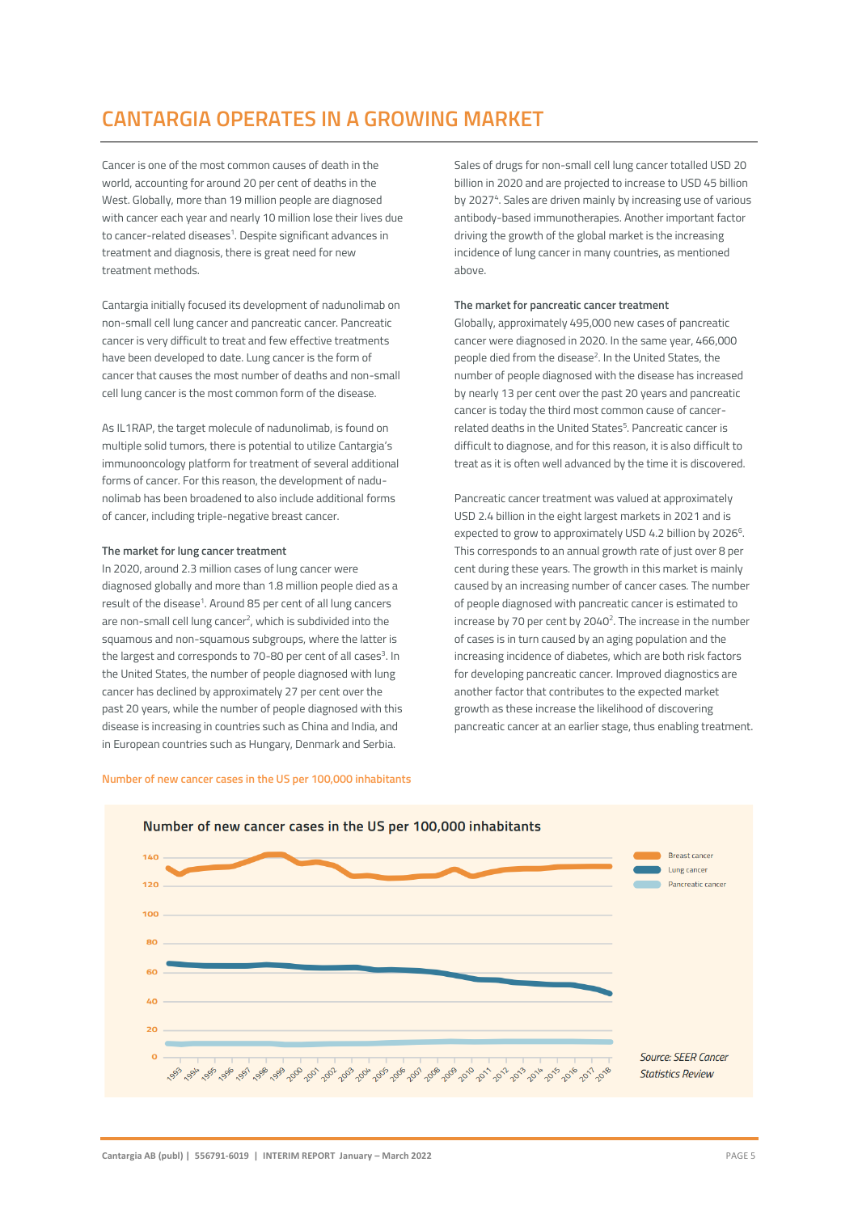### **CANTARGIA OPERATES IN A GROWING MARKET**

Cancer is one of the most common causes of death in the world, accounting for around 20 per cent of deaths in the West. Globally, more than 19 million people are diagnosed with cancer each year and nearly 10 million lose their lives due to cancer-related diseases<sup>1</sup>. Despite significant advances in treatment and diagnosis, there is great need for new treatment methods.

Cantargia initially focused its development of nadunolimab on non-small cell lung cancer and pancreatic cancer. Pancreatic cancer is very difficult to treat and few effective treatments have been developed to date. Lung cancer is the form of cancer that causes the most number of deaths and non-small cell lung cancer is the most common form of the disease.

As IL1RAP, the target molecule of nadunolimab, is found on multiple solid tumors, there is potential to utilize Cantargia's immunooncology platform for treatment of several additional forms of cancer. For this reason, the development of nadunolimab has been broadened to also include additional forms of cancer, including triple-negative breast cancer.

### **The market for lung cancer treatment**

In 2020, around 2.3 million cases of lung cancer were diagnosed globally and more than 1.8 million people died as a result of the disease<sup>1</sup>. Around 85 per cent of all lung cancers are non-small cell lung cancer<sup>2</sup>, which is subdivided into the squamous and non-squamous subgroups, where the latter is the largest and corresponds to 70-80 per cent of all cases<sup>3</sup>. In the United States, the number of people diagnosed with lung cancer has declined by approximately 27 per cent over the past 20 years, while the number of people diagnosed with this disease is increasing in countries such as China and India, and in European countries such as Hungary, Denmark and Serbia.

Sales of drugs for non-small cell lung cancer totalled USD 20 billion in 2020 and are projected to increase to USD 45 billion by 2027<sup>4</sup>. Sales are driven mainly by increasing use of various antibody-based immunotherapies. Another important factor driving the growth of the global market is the increasing incidence of lung cancer in many countries, as mentioned above.

### **The market for pancreatic cancer treatment**

Globally, approximately 495,000 new cases of pancreatic cancer were diagnosed in 2020. In the same year, 466,000 people died from the disease<sup>2</sup>. In the United States, the number of people diagnosed with the disease has increased by nearly 13 per cent over the past 20 years and pancreatic cancer is today the third most common cause of cancerrelated deaths in the United States<sup>5</sup>. Pancreatic cancer is difficult to diagnose, and for this reason, it is also difficult to treat as it is often well advanced by the time it is discovered.

Pancreatic cancer treatment was valued at approximately USD 2.4 billion in the eight largest markets in 2021 and is expected to grow to approximately USD 4.2 billion by 2026<sup>6</sup>. This corresponds to an annual growth rate of just over 8 per cent during these years. The growth in this market is mainly caused by an increasing number of cancer cases. The number of people diagnosed with pancreatic cancer is estimated to increase by 70 per cent by 2040<sup>2</sup>. The increase in the number of cases is in turn caused by an aging population and the increasing incidence of diabetes, which are both risk factors for developing pancreatic cancer. Improved diagnostics are another factor that contributes to the expected market growth as these increase the likelihood of discovering pancreatic cancer at an earlier stage, thus enabling treatment.



#### **Number of new cancer cases in the US per 100,000 inhabitants**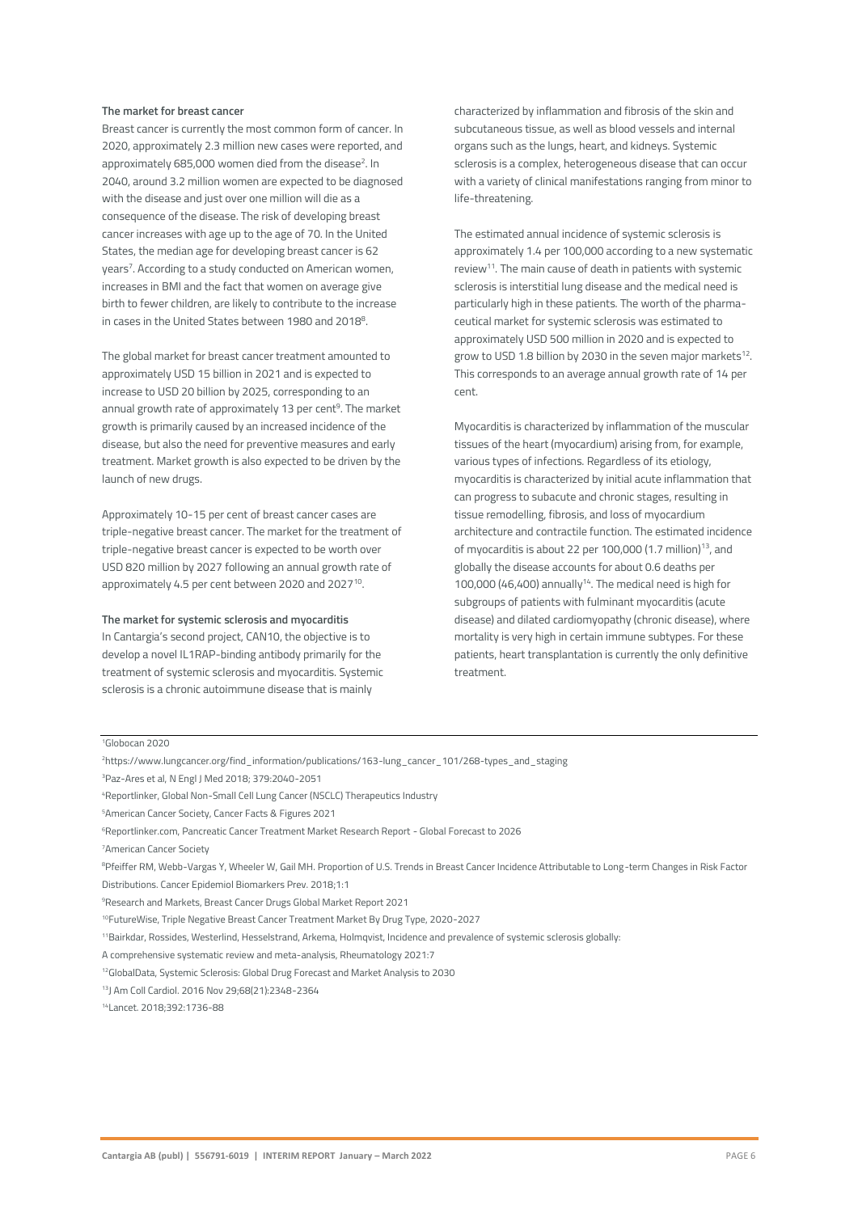### **The market for breast cancer**

Breast cancer is currently the most common form of cancer. In 2020, approximately 2.3 million new cases were reported, and approximately 685,000 women died from the disease<sup>2</sup>. In 2040, around 3.2 million women are expected to be diagnosed with the disease and just over one million will die as a consequence of the disease. The risk of developing breast cancer increases with age up to the age of 70. In the United States, the median age for developing breast cancer is 62 years<sup>7</sup>. According to a study conducted on American women, increases in BMI and the fact that women on average give birth to fewer children, are likely to contribute to the increase in cases in the United States between 1980 and 2018<sup>8</sup>.

The global market for breast cancer treatment amounted to approximately USD 15 billion in 2021 and is expected to increase to USD 20 billion by 2025, corresponding to an annual growth rate of approximately 13 per cent<sup>9</sup>. The market growth is primarily caused by an increased incidence of the disease, but also the need for preventive measures and early treatment. Market growth is also expected to be driven by the launch of new drugs.

Approximately 10-15 per cent of breast cancer cases are triple-negative breast cancer. The market for the treatment of triple-negative breast cancer is expected to be worth over USD 820 million by 2027 following an annual growth rate of approximately 4.5 per cent between 2020 and 2027<sup>10</sup>.

#### **The market for systemic sclerosis and myocarditis**

In Cantargia's second project, CAN10, the objective is to develop a novel IL1RAP-binding antibody primarily for the treatment of systemic sclerosis and myocarditis. Systemic sclerosis is a chronic autoimmune disease that is mainly

characterized by inflammation and fibrosis of the skin and subcutaneous tissue, as well as blood vessels and internal organs such as the lungs, heart, and kidneys. Systemic sclerosis is a complex, heterogeneous disease that can occur with a variety of clinical manifestations ranging from minor to life-threatening.

The estimated annual incidence of systemic sclerosis is approximately 1.4 per 100,000 according to a new systematic review<sup>11</sup>. The main cause of death in patients with systemic sclerosis is interstitial lung disease and the medical need is particularly high in these patients. The worth of the pharmaceutical market for systemic sclerosis was estimated to approximately USD 500 million in 2020 and is expected to grow to USD 1.8 billion by 2030 in the seven major markets $^{12}$ . This corresponds to an average annual growth rate of 14 per cent.

Myocarditis is characterized by inflammation of the muscular tissues of the heart (myocardium) arising from, for example, various types of infections. Regardless of its etiology, myocarditis is characterized by initial acute inflammation that can progress to subacute and chronic stages, resulting in tissue remodelling, fibrosis, and loss of myocardium architecture and contractile function. The estimated incidence of myocarditis is about 22 per 100,000  $(1.7 \text{ million})^{13}$ , and globally the disease accounts for about 0.6 deaths per 100,000 (46,400) annually<sup>14</sup>. The medical need is high for subgroups of patients with fulminant myocarditis (acute disease) and dilated cardiomyopathy (chronic disease), where mortality is very high in certain immune subtypes. For these patients, heart transplantation is currently the only definitive treatment.

#### <sup>1</sup>Globocan 2020

<sup>2</sup>https://www.lungcancer.org/find\_information/publications/163-lung\_cancer\_101/268-types\_and\_staging

<sup>4</sup>Reportlinker, Global Non-Small Cell Lung Cancer (NSCLC) Therapeutics Industry

<sup>11</sup>Bairkdar, Rossides, Westerlind, Hesselstrand, Arkema, Holmqvist, Incidence and prevalence of systemic sclerosis globally:

A comprehensive systematic review and meta-analysis, Rheumatology 2021:7

14Lancet. 2018;392:1736-88

<sup>3</sup>Paz-Ares et al, N Engl J Med 2018; 379:2040-2051

<sup>5</sup>American Cancer Society, Cancer Facts & Figures 2021

<sup>6</sup>Reportlinker.com, Pancreatic Cancer Treatment Market Research Report - Global Forecast to 2026

<sup>7</sup>American Cancer Society

<sup>&</sup>lt;sup>8</sup>Pfeiffer RM, Webb-Vargas Y, Wheeler W, Gail MH. Proportion of U.S. Trends in Breast Cancer Incidence Attributable to Long-term Changes in Risk Factor Distributions. Cancer Epidemiol Biomarkers Prev. 2018;1:1

<sup>9</sup>Research and Markets, Breast Cancer Drugs Global Market Report 2021

<sup>10</sup>FutureWise, Triple Negative Breast Cancer Treatment Market By Drug Type, 2020-2027

<sup>12</sup>GlobalData, Systemic Sclerosis: Global Drug Forecast and Market Analysis to 2030

<sup>13</sup>J Am Coll Cardiol. 2016 Nov 29;68(21):2348-2364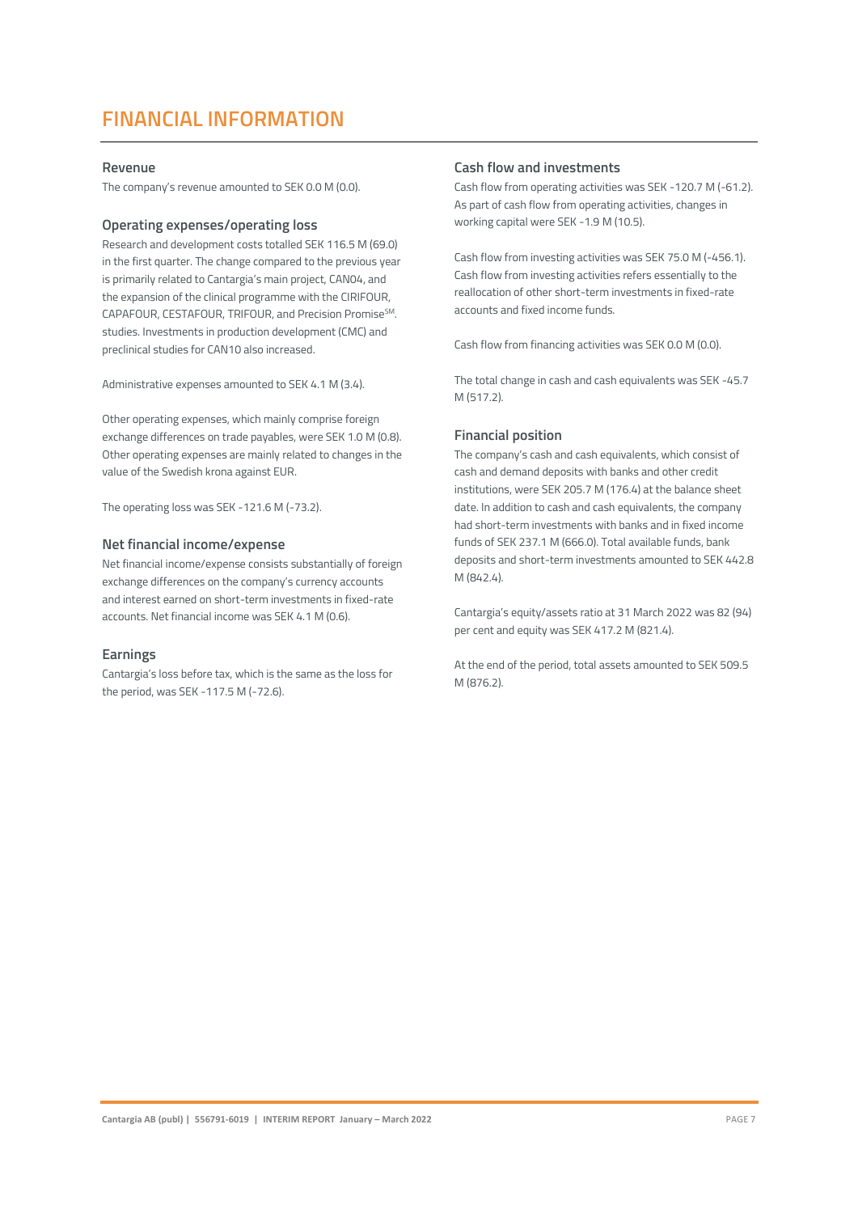### **FINANCIAL INFORMATION**

### **Revenue**

The company's revenue amounted to SEK 0.0 M (0.0).

### **Operating expenses/operating loss**

Research and development costs totalled SEK 116.5 M (69.0) in the first quarter. The change compared to the previous year is primarily related to Cantargia's main project, CAN04, and the expansion of the clinical programme with the CIRIFOUR, CAPAFOUR, CESTAFOUR, TRIFOUR, and Precision Promise<sup>SM</sup>. studies. Investments in production development (CMC) and preclinical studies for CAN10 also increased.

Administrative expenses amounted to SEK 4.1 M (3.4).

Other operating expenses, which mainly comprise foreign exchange differences on trade payables, were SEK 1.0 M (0.8). Other operating expenses are mainly related to changes in the value of the Swedish krona against EUR.

The operating loss was SEK -121.6 M (-73.2).

#### **Net financial income/expense**

Net financial income/expense consists substantially of foreign exchange differences on the company's currency accounts and interest earned on short-term investments in fixed-rate accounts. Net financial income was SEK 4.1 M (0.6).

### **Earnings**

Cantargia's loss before tax, which is the same as the loss for the period, was SEK -117.5 M (-72.6).

### **Cash flow and investments**

Cash flow from operating activities was SEK -120.7 M (-61.2). As part of cash flow from operating activities, changes in working capital were SEK -1.9 M (10.5).

Cash flow from investing activities was SEK 75.0 M (-456.1). Cash flow from investing activities refers essentially to the reallocation of other short-term investments in fixed-rate accounts and fixed income funds.

Cash flow from financing activities was SEK 0.0 M (0.0).

The total change in cash and cash equivalents was SEK -45.7 M (517.2).

### **Financial position**

The company's cash and cash equivalents, which consist of cash and demand deposits with banks and other credit institutions, were SEK 205.7 M (176.4) at the balance sheet date. In addition to cash and cash equivalents, the company had short-term investments with banks and in fixed income funds of SEK 237.1 M (666.0). Total available funds, bank deposits and short-term investments amounted to SEK 442.8 M (842.4).

Cantargia's equity/assets ratio at 31 March 2022 was 82 (94) per cent and equity was SEK 417.2 M (821.4).

At the end of the period, total assets amounted to SEK 509.5 M (876.2).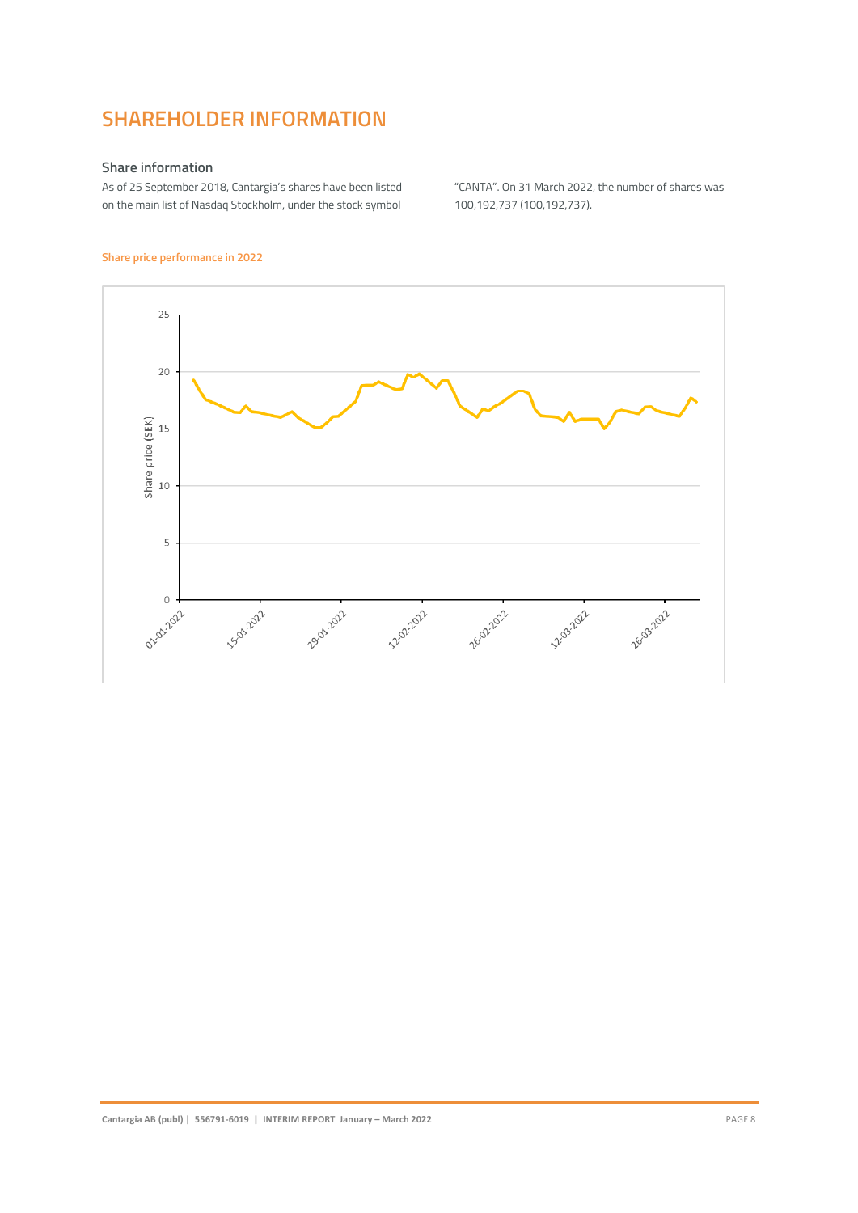### **SHAREHOLDER INFORMATION**

### **Share information**

As of 25 September 2018, Cantargia's shares have been listed on the main list of Nasdaq Stockholm, under the stock symbol

"CANTA". On 31 March 2022, the number of shares was 100,192,737 (100,192,737).

### **Share price performance in 2022**

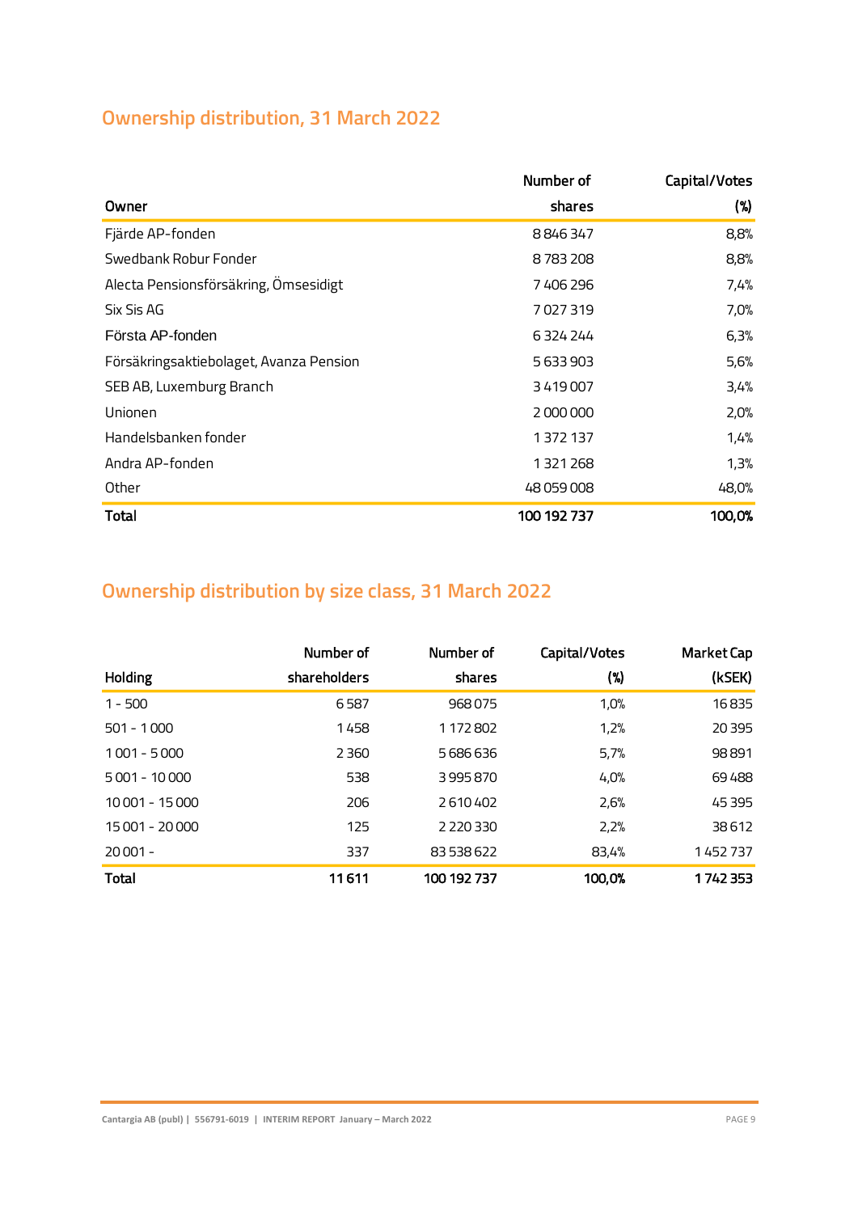### **Ownership distribution, 31 March 2022**

|                                         | Number of   | Capital/Votes |
|-----------------------------------------|-------------|---------------|
| Owner                                   | shares      | (%)           |
| Fjärde AP-fonden                        | 8846347     | 8,8%          |
| Swedbank Robur Fonder                   | 8783208     | 8,8%          |
| Alecta Pensionsförsäkring, Ömsesidigt   | 7406296     | 7,4%          |
| Six Sis AG                              | 7027319     | 7,0%          |
| Första AP-fonden                        | 6324244     | 6,3%          |
| Försäkringsaktiebolaget, Avanza Pension | 5633903     | 5,6%          |
| SEB AB, Luxemburg Branch                | 3419007     | 3,4%          |
| Unionen                                 | 2000000     | 2,0%          |
| Handelsbanken fonder                    | 1372137     | 1,4%          |
| Andra AP-fonden                         | 1321268     | 1,3%          |
| Other                                   | 48 059 008  | 48,0%         |
| <b>Total</b>                            | 100 192 737 | 100,0%        |

### **Ownership distribution by size class, 31 March 2022**

|                 | Number of    | Number of     | Capital/Votes | <b>Market Cap</b> |
|-----------------|--------------|---------------|---------------|-------------------|
| Holding         | shareholders | shares        | $(\%)$        | (kSEK)            |
| $1 - 500$       | 6587         | 968075        | 1,0%          | 16835             |
| $501 - 1000$    | 1458         | 1 172 802     | 1,2%          | 20 3 95           |
| $1001 - 5000$   | 2 3 6 0      | 5686636       | 5,7%          | 98891             |
| $5001 - 10000$  | 538          | 3995870       | 4,0%          | 69488             |
| 10 001 - 15 000 | 206          | 2610402       | 2,6%          | 45 395            |
| 15 001 - 20 000 | 125          | 2 2 2 0 3 3 0 | 2,2%          | 38612             |
| $20001 -$       | 337          | 83 538 622    | 83,4%         | 1452737           |
| <b>Total</b>    | 11611        | 100 192 737   | 100,0%        | 1742353           |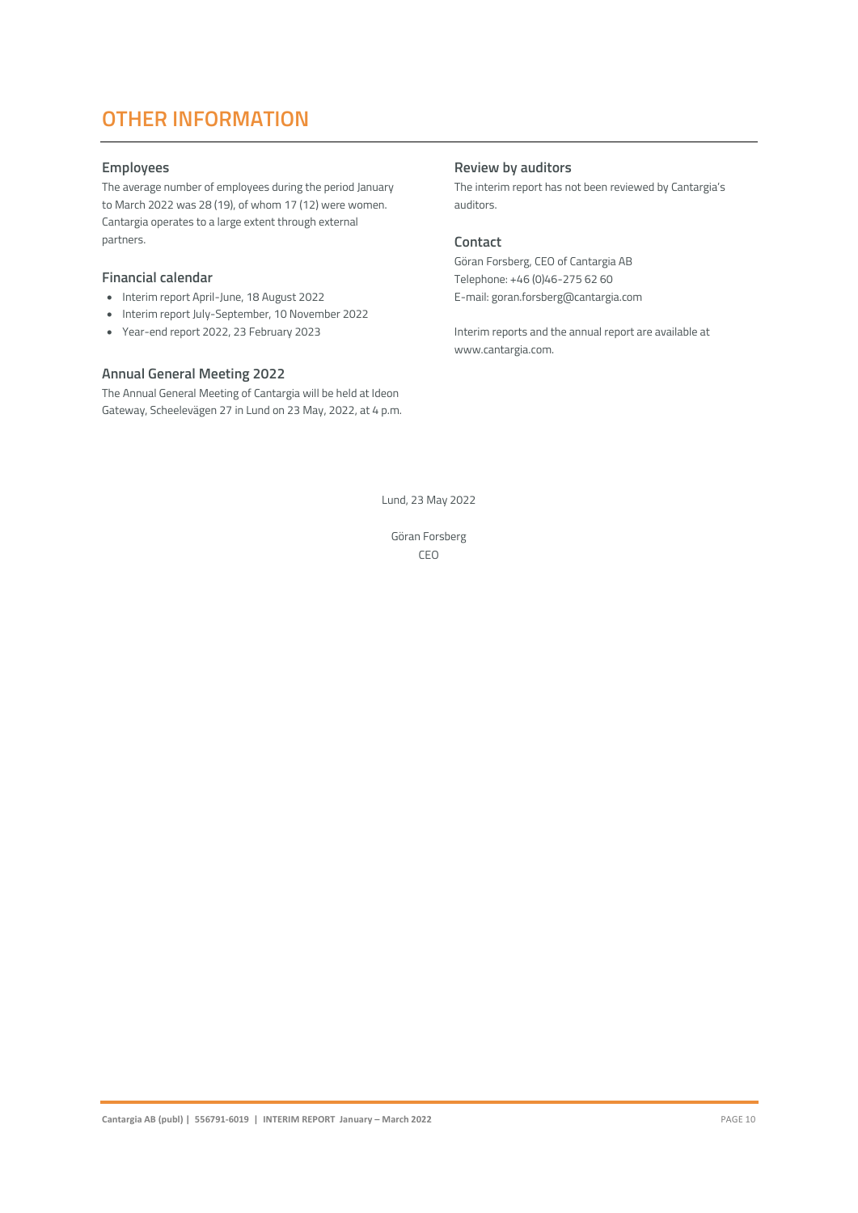### **OTHER INFORMATION**

### **Employees**

The average number of employees during the period January to March 2022 was 28 (19), of whom 17 (12) were women. Cantargia operates to a large extent through external partners.

### **Financial calendar**

- Interim report April-June, 18 August 2022
- Interim report July-September, 10 November 2022
- Year-end report 2022, 23 February 2023

### **Annual General Meeting 2022**

The Annual General Meeting of Cantargia will be held at Ideon Gateway, Scheelevägen 27 in Lund on 23 May, 2022, at 4 p.m.

### **Review by auditors**

The interim report has not been reviewed by Cantargia's auditors.

### **Contact**

Göran Forsberg, CEO of Cantargia AB Telephone: +46 (0)46-275 62 60 E-mail: goran.forsberg@cantargia.com

Interim reports and the annual report are available at www.cantargia.com.

Lund, 23 May 2022

Göran Forsberg CEO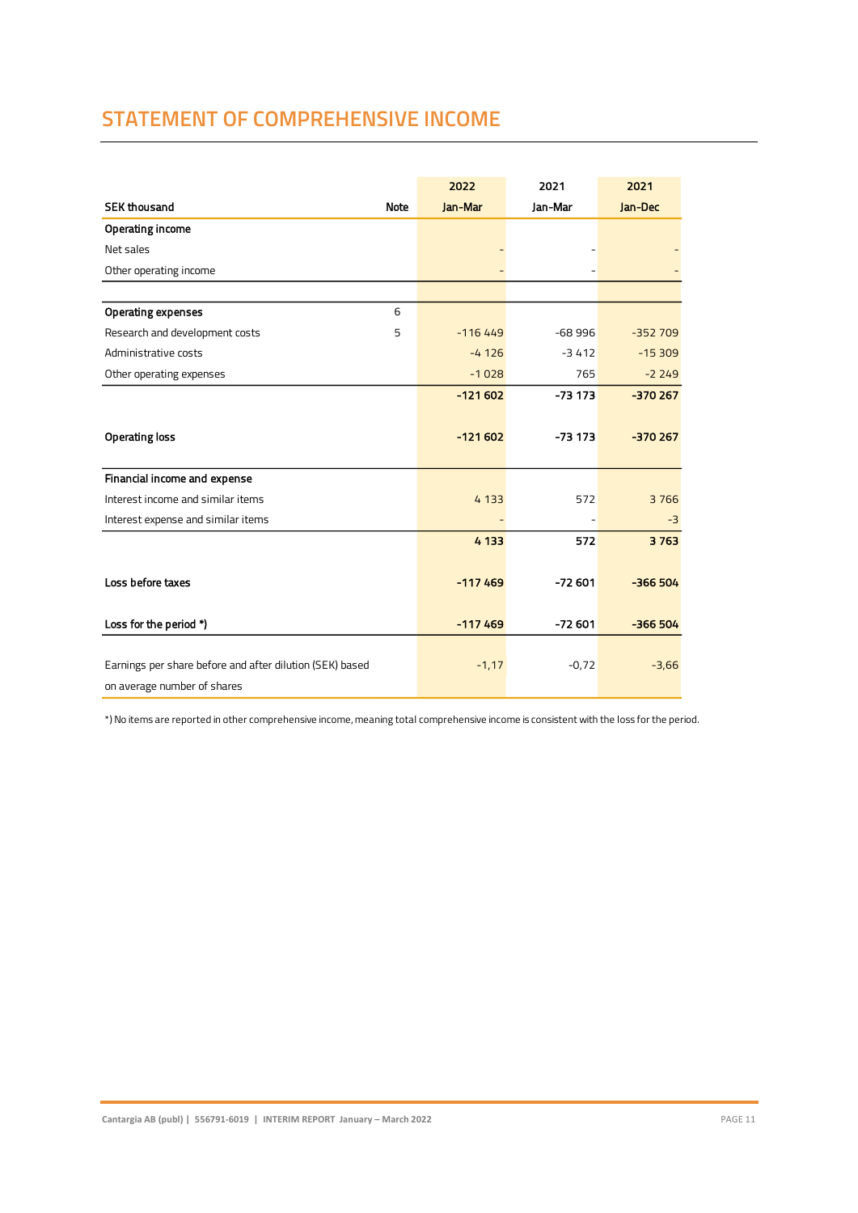### **STATEMENT OF COMPREHENSIVE INCOME**

|                                                          | 2022      | 2021     | 2021      |
|----------------------------------------------------------|-----------|----------|-----------|
| <b>SEK thousand</b><br><b>Note</b>                       | Jan-Mar   | Jan-Mar  | Jan-Dec   |
| Operating income                                         |           |          |           |
| Net sales                                                |           |          |           |
| Other operating income                                   |           |          |           |
|                                                          |           |          |           |
| <b>Operating expenses</b><br>6                           |           |          |           |
| Research and development costs<br>5                      | $-116449$ | $-68996$ | $-352709$ |
| Administrative costs                                     | $-4126$   | $-3412$  | $-15309$  |
| Other operating expenses                                 | $-1028$   | 765      | $-2249$   |
|                                                          | $-121602$ | $-73173$ | $-370267$ |
|                                                          |           |          |           |
| <b>Operating loss</b>                                    | $-121602$ | $-73173$ | $-370267$ |
|                                                          |           |          |           |
| Financial income and expense                             |           |          |           |
| Interest income and similar items                        | 4 1 3 3   | 572      | 3766      |
| Interest expense and similar items                       |           |          | $-3$      |
|                                                          | 4 1 3 3   | 572      | 3763      |
|                                                          |           |          |           |
| Loss before taxes                                        | $-117469$ | $-72601$ | $-366504$ |
|                                                          |           |          |           |
| Loss for the period *)                                   | $-117469$ | $-72601$ | $-366504$ |
|                                                          |           |          |           |
| Earnings per share before and after dilution (SEK) based | $-1,17$   | $-0,72$  | $-3,66$   |
| on average number of shares                              |           |          |           |

\*) No items are reported in other comprehensive income, meaning total comprehensive income is consistent with the loss for the period.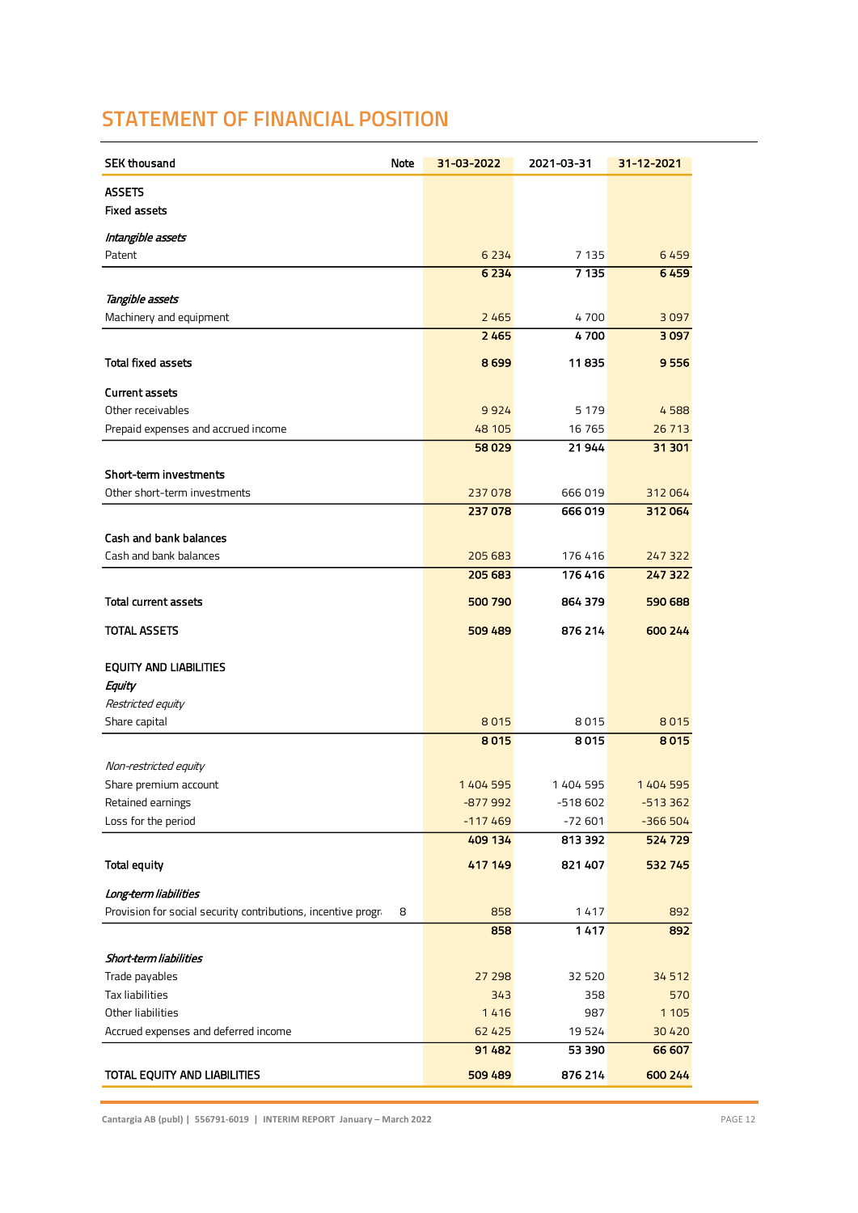### **STATEMENT OF FINANCIAL POSITION**

| <b>SEK thousand</b><br>Note                                                                 | 31-03-2022      | 2021-03-31   | 31-12-2021         |
|---------------------------------------------------------------------------------------------|-----------------|--------------|--------------------|
| <b>ASSETS</b>                                                                               |                 |              |                    |
| <b>Fixed assets</b>                                                                         |                 |              |                    |
| Intangible assets                                                                           |                 |              |                    |
| Patent                                                                                      | 6 2 3 4         | 7 1 3 5      | 6459               |
|                                                                                             | 6 2 3 4         | 7135         | 6459               |
| Tangible assets                                                                             |                 |              |                    |
| Machinery and equipment                                                                     | 2465            | 4700         | 3097               |
|                                                                                             | 2465            | 4700         | 3097               |
|                                                                                             |                 |              |                    |
| <b>Total fixed assets</b>                                                                   | 8699            | 11835        | 9556               |
| <b>Current assets</b>                                                                       |                 |              |                    |
| Other receivables                                                                           | 9924            | 5 1 7 9      | 4588               |
| Prepaid expenses and accrued income                                                         | 48 105          | 16 7 65      | 26 7 13            |
|                                                                                             | 58029           | 21944        | 31 301             |
| Short-term investments                                                                      |                 |              |                    |
| Other short-term investments                                                                | 237078          | 666019       | 312064             |
|                                                                                             | 237078          | 666019       | 312064             |
| <b>Cash and bank balances</b>                                                               |                 |              |                    |
| Cash and bank balances                                                                      | 205 683         | 176416       | 247 322            |
|                                                                                             | 205 683         | 176416       | 247 322            |
| <b>Total current assets</b>                                                                 | 500 790         | 864 379      | 590 688            |
|                                                                                             |                 |              |                    |
| TOTAL ASSETS                                                                                | 509 489         | 876 214      | 600 244            |
| <b>EQUITY AND LIABILITIES</b>                                                               |                 |              |                    |
| Equity                                                                                      |                 |              |                    |
| Restricted equity                                                                           |                 |              |                    |
| Share capital                                                                               | 8015            | 8015         | 8015               |
|                                                                                             | 8015            | 8015         | 8015               |
| Non-restricted equity                                                                       |                 |              |                    |
| Share premium account                                                                       | 1404 595        | 1404 595     | 1404 595           |
| Retained earnings                                                                           | $-877992$       | $-518602$    | $-513362$          |
| Loss for the period                                                                         | $-117469$       | $-72601$     | $-366504$          |
|                                                                                             | 409 134         | 813 392      | 524 729            |
| <b>Total equity</b>                                                                         | 417 149         | 821 407      | 532 745            |
|                                                                                             |                 |              |                    |
| Long-term liabilities<br>Provision for social security contributions, incentive progra<br>8 | 858             | 1417         | 892                |
|                                                                                             | 858             | 1417         | 892                |
|                                                                                             |                 |              |                    |
| Short-term liabilities                                                                      |                 |              |                    |
| Trade payables                                                                              | 27 298          | 32 5 20      | 34 5 12            |
| Tax liabilities                                                                             | 343             | 358          | 570                |
| Other liabilities<br>Accrued expenses and deferred income                                   | 1416<br>62 4 25 | 987<br>19524 | 1 1 0 5<br>30 4 20 |
|                                                                                             | 91 482          | 53 390       | 66 607             |
|                                                                                             |                 |              |                    |
| TOTAL EQUITY AND LIABILITIES                                                                | 509 489         | 876 214      | 600 244            |

**Cantargia AB (publ) | 556791-6019 | INTERIM REPORT January – March 2022** PAGE 12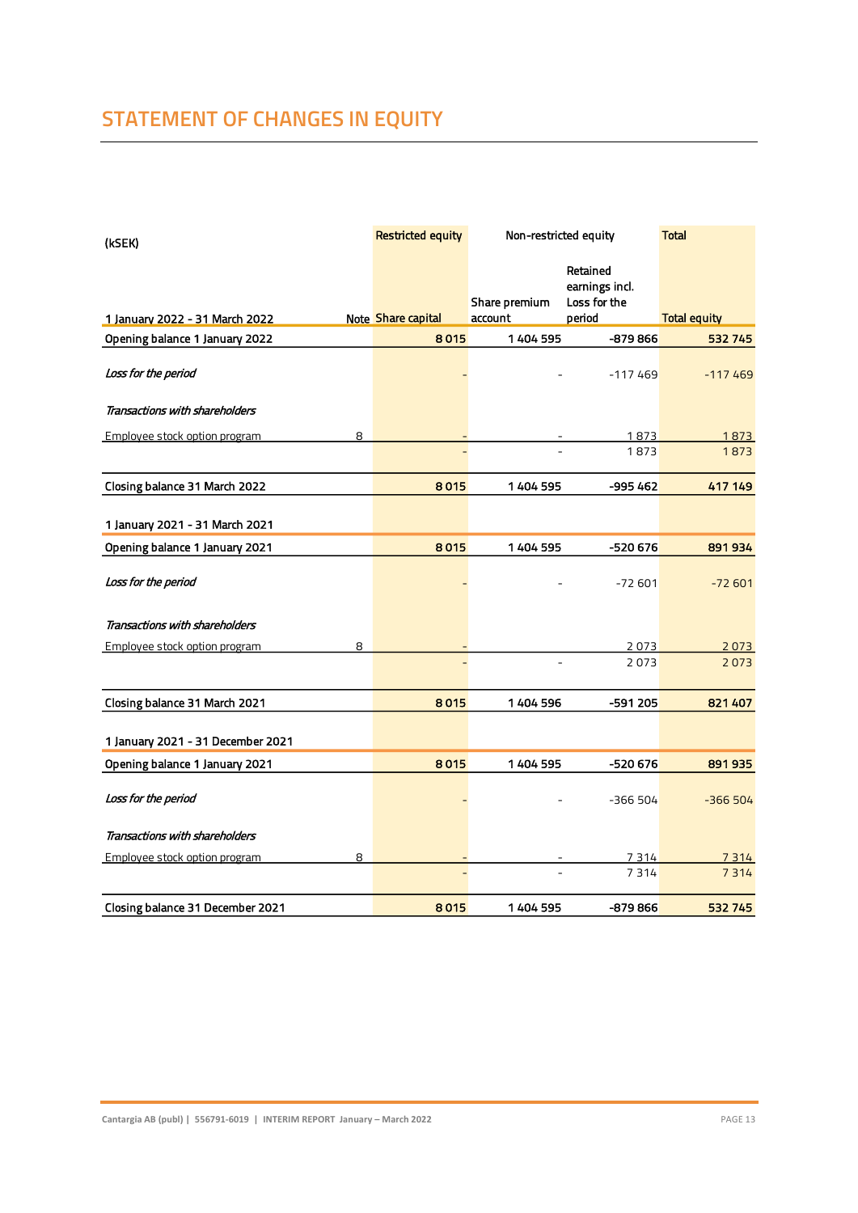### **STATEMENT OF CHANGES IN EQUITY**

| (kSEK)                             | <b>Restricted equity</b> | Non-restricted equity |                                            | <b>Total</b>        |
|------------------------------------|--------------------------|-----------------------|--------------------------------------------|---------------------|
|                                    |                          | Share premium         | Retained<br>earnings incl.<br>Loss for the |                     |
| 1 January 2022 - 31 March 2022     | Note Share capital       | account               | period                                     | <b>Total equity</b> |
| Opening balance 1 January 2022     | 8015                     | 1 404 595             | -879 866                                   | 532 745             |
| Loss for the period                |                          |                       | $-117469$                                  | $-117469$           |
| Transactions with shareholders     |                          |                       |                                            |                     |
| Employee stock option program<br>8 |                          |                       | 1873                                       | 1873                |
|                                    |                          |                       | 1873                                       | 1873                |
| Closing balance 31 March 2022      | 8015                     | 1404 595              | $-995462$                                  | 417 149             |
| 1 January 2021 - 31 March 2021     |                          |                       |                                            |                     |
| Opening balance 1 January 2021     | 8015                     | 1404 595              | -520 676                                   | 891934              |
| Loss for the period                |                          |                       | $-72601$                                   | $-72601$            |
| Transactions with shareholders     |                          |                       |                                            |                     |
| Employee stock option program<br>8 |                          |                       | 2073                                       | 2073                |
|                                    |                          |                       | 2073                                       | 2073                |
| Closing balance 31 March 2021      | 8015                     | 1404 596              | -591 205                                   | 821 407             |
| 1 January 2021 - 31 December 2021  |                          |                       |                                            |                     |
| Opening balance 1 January 2021     | 8015                     | 1404595               | -520 676                                   | 891935              |
| Loss for the period                |                          |                       | -366 504                                   | $-366504$           |
| Transactions with shareholders     |                          |                       |                                            |                     |
| 8<br>Employee stock option program |                          |                       | 7 3 1 4                                    | 7 3 1 4             |
|                                    |                          |                       | 7314                                       | 7314                |
| Closing balance 31 December 2021   | 8015                     | 1404 595              | -879 866                                   | 532745              |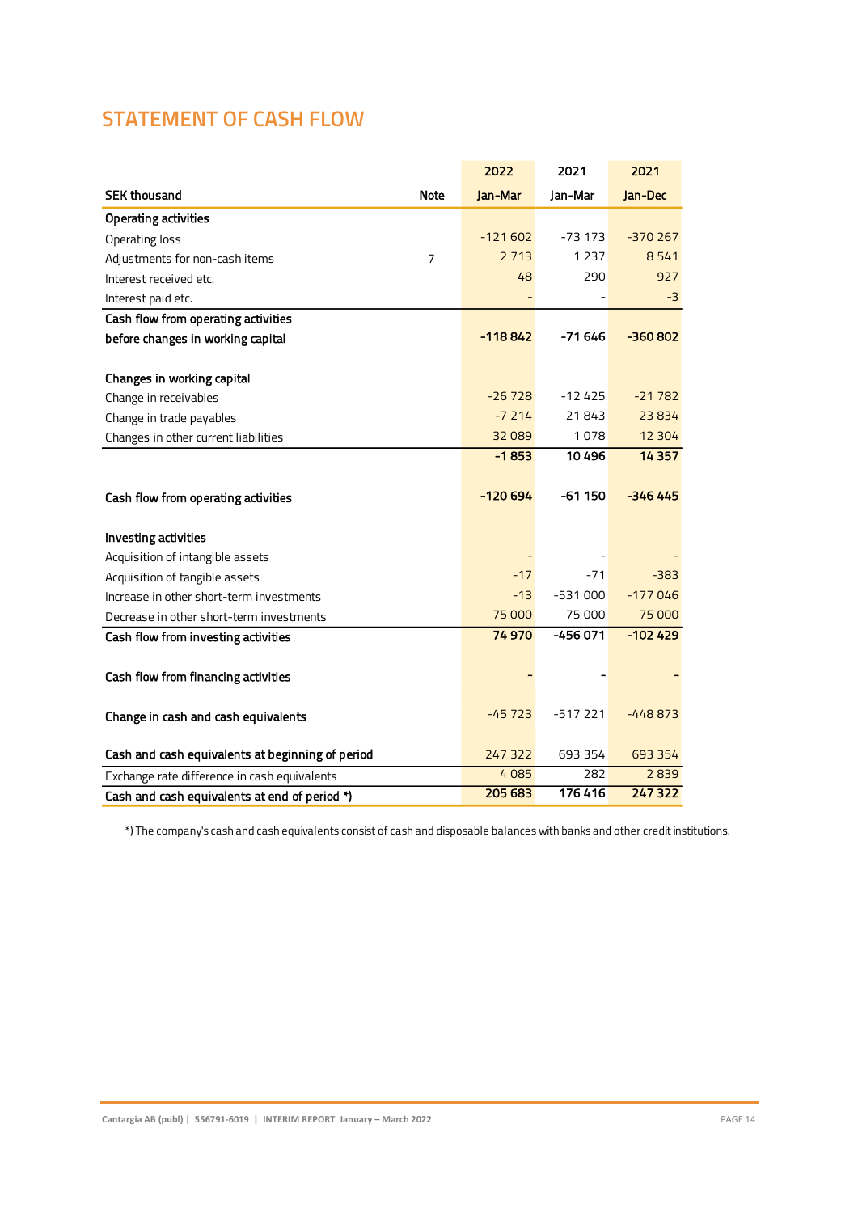### **STATEMENT OF CASH FLOW**

|                                                  |             | 2022      | 2021      | 2021      |
|--------------------------------------------------|-------------|-----------|-----------|-----------|
| <b>SEK thousand</b>                              | <b>Note</b> | Jan-Mar   | Jan-Mar   | Jan-Dec   |
| <b>Operating activities</b>                      |             |           |           |           |
| Operating loss                                   |             | $-121602$ | $-73173$  | $-370267$ |
| Adjustments for non-cash items                   | 7           | 2 7 1 3   | 1 2 3 7   | 8541      |
| Interest received etc.                           |             | 48        | 290       | 927       |
| Interest paid etc.                               |             |           |           | -3        |
| Cash flow from operating activities              |             |           |           |           |
| before changes in working capital                |             | -118842   | -71 646   | $-360802$ |
|                                                  |             |           |           |           |
| Changes in working capital                       |             |           |           |           |
| Change in receivables                            |             | $-26728$  | $-12425$  | $-21782$  |
| Change in trade payables                         |             | $-7214$   | 21843     | 23834     |
| Changes in other current liabilities             |             | 32 089    | 1078      | 12 304    |
|                                                  |             | $-1853$   | 10 4 96   | 14 3 5 7  |
|                                                  |             |           |           |           |
| Cash flow from operating activities              |             | $-120694$ | -61 150   | $-346445$ |
| Investing activities                             |             |           |           |           |
| Acquisition of intangible assets                 |             |           |           |           |
| Acquisition of tangible assets                   |             | $-17$     | $-71$     | $-383$    |
| Increase in other short-term investments         |             | $-13$     | $-531000$ | $-177046$ |
| Decrease in other short-term investments         |             | 75 000    | 75 000    | 75 000    |
| Cash flow from investing activities              |             | 74970     | $-456071$ | $-102429$ |
|                                                  |             |           |           |           |
| Cash flow from financing activities              |             |           |           |           |
|                                                  |             |           |           |           |
| Change in cash and cash equivalents              |             | $-45723$  | -517 221  | $-448873$ |
|                                                  |             |           |           |           |
| Cash and cash equivalents at beginning of period |             | 247 322   | 693 354   | 693 354   |
| Exchange rate difference in cash equivalents     |             | 4085      | 282       | 2839      |
| Cash and cash equivalents at end of period *)    |             | 205 683   | 176 416   | 247 322   |

\*) The company's cash and cash equivalents consist of cash and disposable balances with banks and other credit institutions.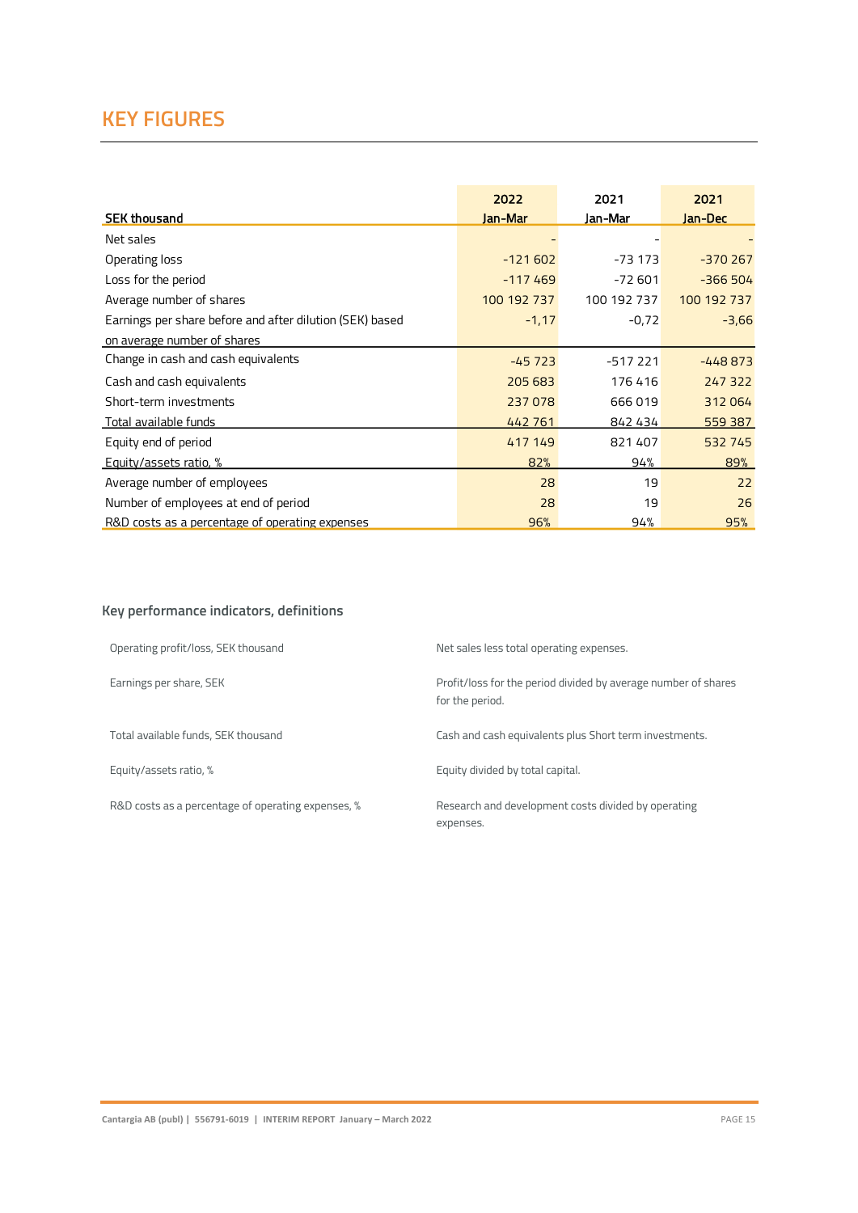### **KEY FIGURES**

|                                                          | 2022        | 2021        | 2021        |
|----------------------------------------------------------|-------------|-------------|-------------|
| <b>SEK thousand</b>                                      | Jan-Mar     | Jan-Mar     | Jan-Dec     |
| Net sales                                                |             |             |             |
| Operating loss                                           | $-121602$   | $-73173$    | $-370267$   |
| Loss for the period                                      | $-117469$   | $-72601$    | $-366504$   |
| Average number of shares                                 | 100 192 737 | 100 192 737 | 100 192 737 |
| Earnings per share before and after dilution (SEK) based | $-1,17$     | $-0,72$     | $-3,66$     |
| on average number of shares                              |             |             |             |
| Change in cash and cash equivalents                      | $-45723$    | $-517221$   | $-448873$   |
| Cash and cash equivalents                                | 205 683     | 176416      | 247 322     |
| Short-term investments                                   | 237078      | 666019      | 312064      |
| Total available funds                                    | 442 761     | 842 434     | 559 387     |
| Equity end of period                                     | 417 149     | 821407      | 532 745     |
| Equity/assets ratio, %                                   | 82%         | 94%         | 89%         |
| Average number of employees                              | 28          | 19          | 22          |
| Number of employees at end of period                     | 28          | 19          | 26          |
| R&D costs as a percentage of operating expenses          | 96%         | 94%         | 95%         |

### **Key performance indicators, definitions**

| Operating profit/loss, SEK thousand                | Net sales less total operating expenses.                                          |
|----------------------------------------------------|-----------------------------------------------------------------------------------|
| Earnings per share, SEK                            | Profit/loss for the period divided by average number of shares<br>for the period. |
| Total available funds, SEK thousand                | Cash and cash equivalents plus Short term investments.                            |
| Equity/assets ratio, %                             | Equity divided by total capital.                                                  |
| R&D costs as a percentage of operating expenses, % | Research and development costs divided by operating<br>expenses.                  |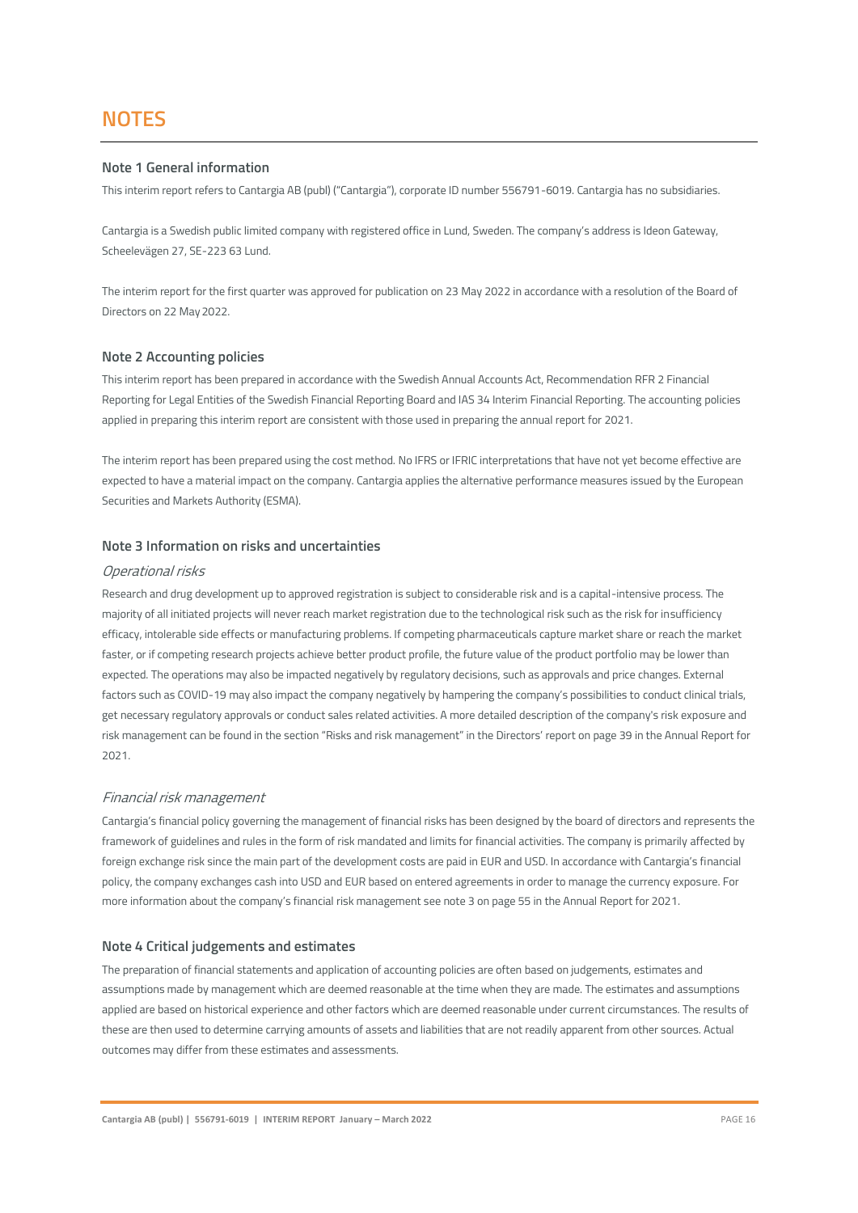### **Note 1 General information**

This interim report refers to Cantargia AB (publ) ("Cantargia"), corporate ID number 556791-6019. Cantargia has no subsidiaries.

Cantargia is a Swedish public limited company with registered office in Lund, Sweden. The company's address is Ideon Gateway, Scheelevägen 27, SE-223 63 Lund.

The interim report for the first quarter was approved for publication on 23 May 2022 in accordance with a resolution of the Board of Directors on 22 May2022.

### **Note 2 Accounting policies**

This interim report has been prepared in accordance with the Swedish Annual Accounts Act, Recommendation RFR 2 Financial Reporting for Legal Entities of the Swedish Financial Reporting Board and IAS 34 Interim Financial Reporting. The accounting policies applied in preparing this interim report are consistent with those used in preparing the annual report for 2021.

The interim report has been prepared using the cost method. No IFRS or IFRIC interpretations that have not yet become effective are expected to have a material impact on the company. Cantargia applies the alternative performance measures issued by the European Securities and Markets Authority (ESMA).

### **Note 3 Information on risks and uncertainties**

#### Operational risks

Research and drug development up to approved registration is subject to considerable risk and is a capital-intensive process. The majority of all initiated projects will never reach market registration due to the technological risk such as the risk for insufficiency efficacy, intolerable side effects or manufacturing problems. If competing pharmaceuticals capture market share or reach the market faster, or if competing research projects achieve better product profile, the future value of the product portfolio may be lower than expected. The operations may also be impacted negatively by regulatory decisions, such as approvals and price changes. External factors such as COVID-19 may also impact the company negatively by hampering the company's possibilities to conduct clinical trials, get necessary regulatory approvals or conduct sales related activities. A more detailed description of the company's risk exposure and risk management can be found in the section "Risks and risk management" in the Directors' report on page 39 in the Annual Report for 2021.

### Financial risk management

Cantargia's financial policy governing the management of financial risks has been designed by the board of directors and represents the framework of guidelines and rules in the form of risk mandated and limits for financial activities. The company is primarily affected by foreign exchange risk since the main part of the development costs are paid in EUR and USD. In accordance with Cantargia's financial policy, the company exchanges cash into USD and EUR based on entered agreements in order to manage the currency exposure. For more information about the company's financial risk management see note 3 on page 55 in the Annual Report for 2021.

#### **Note 4 Critical judgements and estimates**

The preparation of financial statements and application of accounting policies are often based on judgements, estimates and assumptions made by management which are deemed reasonable at the time when they are made. The estimates and assumptions applied are based on historical experience and other factors which are deemed reasonable under current circumstances. The results of these are then used to determine carrying amounts of assets and liabilities that are not readily apparent from other sources. Actual outcomes may differ from these estimates and assessments.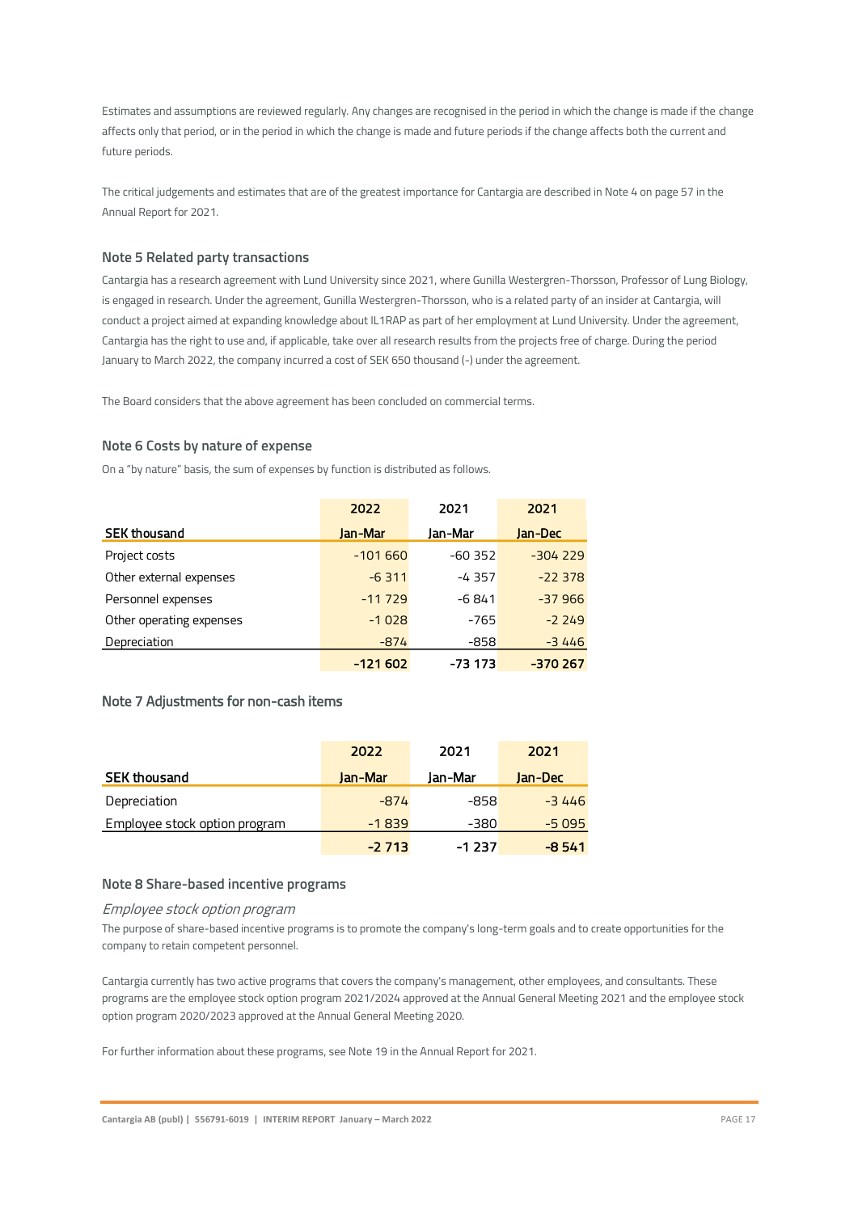Estimates and assumptions are reviewed regularly. Any changes are recognised in the period in which the change is made if the change affects only that period, or in the period in which the change is made and future periods if the change affects both the current and future periods.

The critical judgements and estimates that are of the greatest importance for Cantargia are described in Note 4 on page 57 in the Annual Report for 2021.

### **Note 5 Related party transactions**

Cantargia has a research agreement with Lund University since 2021, where Gunilla Westergren-Thorsson, Professor of Lung Biology, is engaged in research. Under the agreement, Gunilla Westergren-Thorsson, who is a related party of an insider at Cantargia, will conduct a project aimed at expanding knowledge about IL1RAP as part of her employment at Lund University. Under the agreement, Cantargia has the right to use and, if applicable, take over all research results from the projects free of charge. During the period January to March 2022, the company incurred a cost of SEK 650 thousand (-) under the agreement.

The Board considers that the above agreement has been concluded on commercial terms.

### **Note 6 Costs by nature of expense**

On a "by nature" basis, the sum of expenses by function is distributed as follows.

|                          | 2022      | 2021     | 2021      |
|--------------------------|-----------|----------|-----------|
| <b>SEK thousand</b>      | Jan-Mar   | Jan-Mar  | Jan-Dec   |
| Project costs            | $-101660$ | $-60352$ | $-304229$ |
| Other external expenses  | $-6311$   | $-4357$  | $-22378$  |
| Personnel expenses       | $-11729$  | $-6841$  | $-37966$  |
| Other operating expenses | $-1028$   | $-765$   | $-2249$   |
| Depreciation             | $-874$    | $-858$   | $-3446$   |
|                          | -121 602  | -73 173  | -370 267  |

### Note 7 Adjustments for non-cash items

|                               | 2022    | 2021    | 2021    |
|-------------------------------|---------|---------|---------|
| <b>SEK thousand</b>           | Jan-Mar | Jan-Mar | Jan-Dec |
| Depreciation                  | $-874$  | -858    | $-3446$ |
| Employee stock option program | $-1839$ | $-380$  | $-5095$ |
|                               | $-2713$ | $-1237$ | $-8541$ |

### **Note 8 Share-based incentive programs**

#### Employee stock option program

The purpose of share-based incentive programs is to promote the company's long-term goals and to create opportunities for the company to retain competent personnel.

Cantargia currently has two active programs that covers the company's management, other employees, and consultants. These programs are the employee stock option program 2021/2024 approved at the Annual General Meeting 2021 and the employee stock option program 2020/2023 approved at the Annual General Meeting 2020.

For further information about these programs, see Note 19 in the Annual Report for 2021.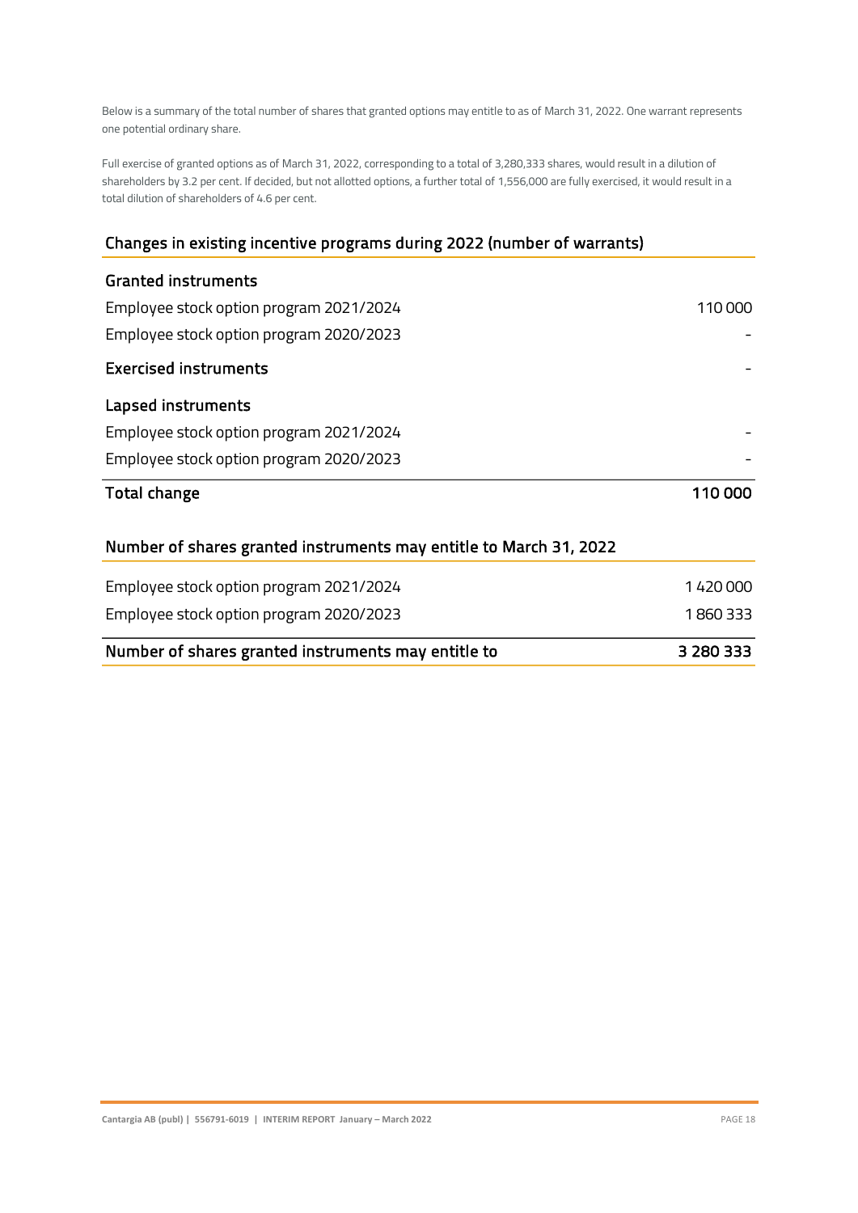Below is a summary of the total number of shares that granted options may entitle to as of March 31, 2022. One warrant represents one potential ordinary share.

Full exercise of granted options as of March 31, 2022, corresponding to a total of 3,280,333 shares, would result in a dilution of shareholders by 3.2 per cent. If decided, but not allotted options, a further total of 1,556,000 are fully exercised, it would result in a total dilution of shareholders of 4.6 per cent.

### Changes in existing incentive programs during 2022 (number of warrants)

| <b>Granted instruments</b>                                         |         |
|--------------------------------------------------------------------|---------|
| Employee stock option program 2021/2024                            | 110 000 |
| Employee stock option program 2020/2023                            |         |
| <b>Exercised instruments</b>                                       |         |
| Lapsed instruments                                                 |         |
| Employee stock option program 2021/2024                            |         |
| Employee stock option program 2020/2023                            |         |
| Total change                                                       | 110 000 |
| Number of shares granted instruments may entitle to March 31, 2022 |         |
| Employee stock option program 2021/2024                            | 1420000 |
| Employee stock option program 2020/2023                            | 1860333 |

| Number of shares granted instruments may entitle to | 3 280 333 |
|-----------------------------------------------------|-----------|
|-----------------------------------------------------|-----------|